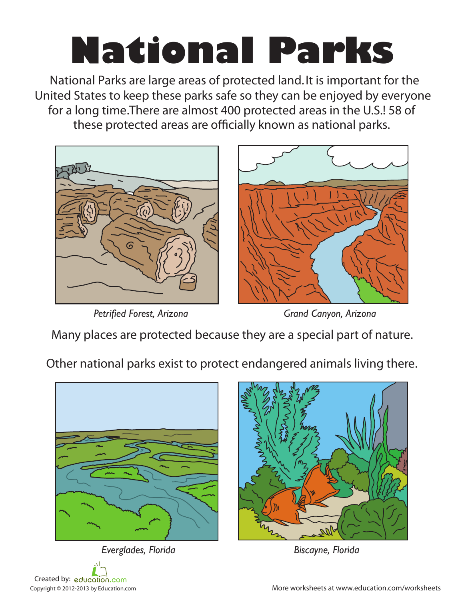## **National Parks**

National Parks are large areas of protected land. It is important for the United States to keep these parks safe so they can be enjoyed by everyone for a long time.There are almost 400 protected areas in the U.S.! 58 of these protected areas are officially known as national parks.



*Petrified Forest, Arizona Grand Canyon, Arizona*

Many places are protected because they are a special part of nature.

Other national parks exist to protect endangered animals living there.



*Everglades, Florida Biscayne, Florida*





Copyright © 2012-2013 by Education.com and More worksheets at www.education.com/worksheets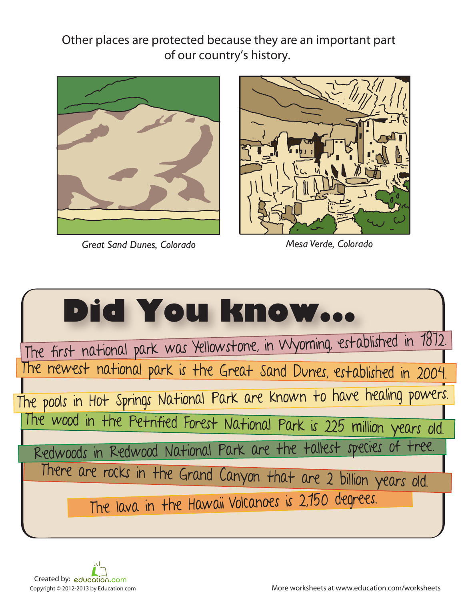Other places are protected because they are an important part of our country's history.



*Great Sand Dunes, Colorado Mesa Verde, Colorado*